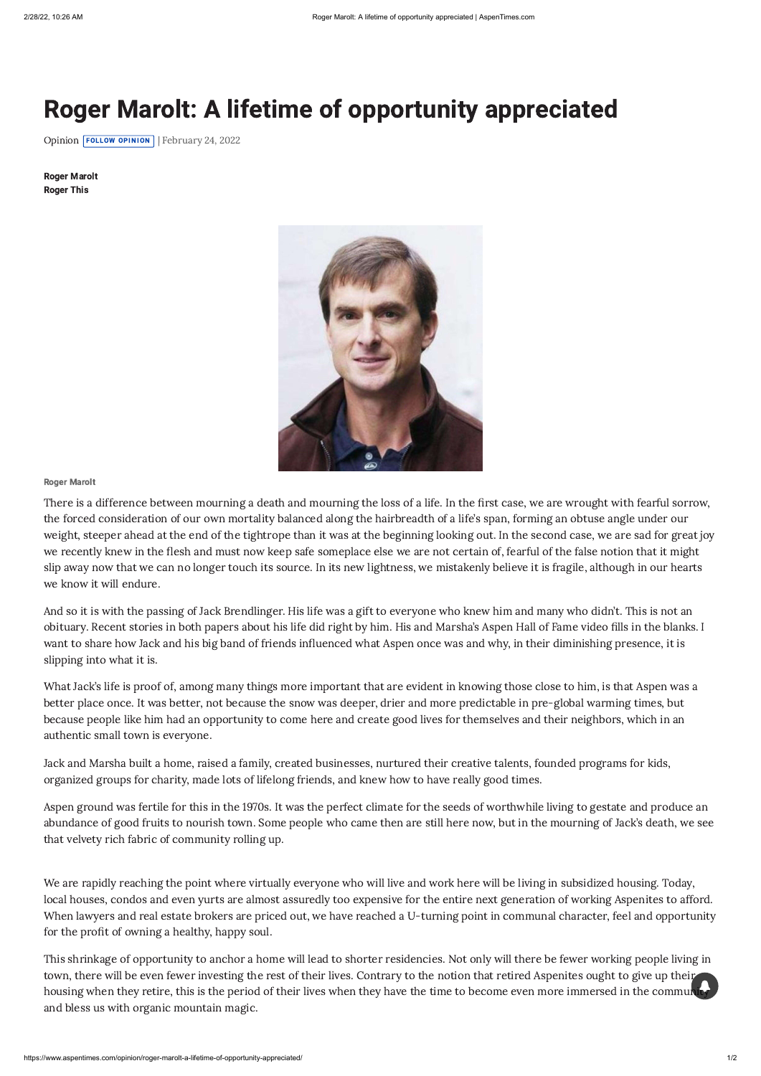# Roger Marolt: A lifetime of opportunity appreciated

[Opinion](https://www.aspentimes.com/recent-stories/opinion) **FOLLOW OPINION** | February 24, 2022

## Roger Marolt

There is a difference between mourning a death and mourning the loss of a life. In the first case, we are wrought with fearful sorrow, the forced consideration of our own mortality balanced along the hairbreadth of a life's span, forming an obtuse angle under our weight, steeper ahead at the end of the tightrope than it was at the beginning looking out. In the second case, we are sad for great joy we recently knew in the flesh and must now keep safe someplace else we are not certain of, fearful of the false notion that it might slip away now that we can no longer touch its source. In its new lightness, we mistakenly believe it is fragile, although in our hearts we know it will endure.

And so it is with the passing of Jack Brendlinger. His life was a gift to everyone who knew him and many who didn't. This is not an obituary. Recent stories in both papers about his life did right by him. His and Marsha's Aspen Hall of Fame video fills in the blanks. I want to share how Jack and his big band of friends influenced what Aspen once was and why, in their diminishing presence, it is slipping into what it is.

What Jack's life is proof of, among many things more important that are evident in knowing those close to him, is that Aspen was a better place once. It was better, not because the snow was deeper, drier and more predictable in pre-global warming times, but because people like him had an opportunity to come here and create good lives for themselves and their neighbors, which in an authentic small town is everyone.

Jack and Marsha built a home, raised a family, created businesses, nurtured their creative talents, founded programs for kids, organized groups for charity, made lots of lifelong friends, and knew how to have really good times.

Aspen ground was fertile for this in the 1970s. It was the perfect climate for the seeds of worthwhile living to gestate and produce an

abundance of good fruits to nourish town. Some people who came then are still here now, but in the mourning of Jack's death, we see that velvety rich fabric of community rolling up.

We are rapidly reaching the point where virtually everyone who will live and work here will be living in subsidized housing. Today, local houses, condos and even yurts are almost assuredly too expensive for the entire next generation of working Aspenites to afford. When lawyers and real estate brokers are priced out, we have reached a U-turning point in communal character, feel and opportunity for the profit of owning a healthy, happy soul.

This shrinkage of opportunity to anchor a home will lead to shorter residencies. Not only will there be fewer working people living in town, there will be even fewer investing the rest of their lives. Contrary to the notion that retired Aspenites ought to give up their housing when they retire, this is the period of their lives when they have the time to become even more immersed in the community and bless us with organic mountain magic.

Roger Marolt Roger This